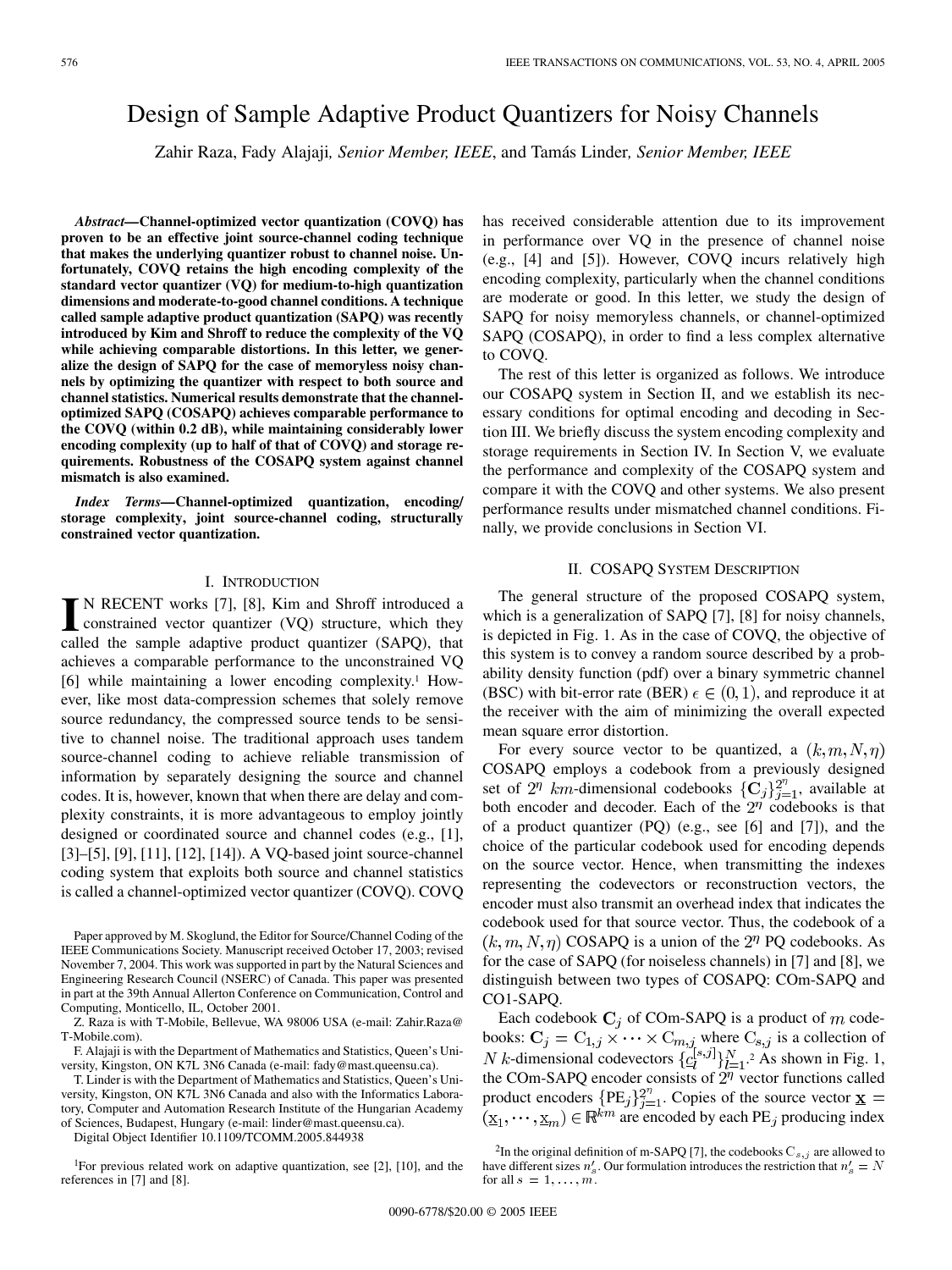# Design of Sample Adaptive Product Quantizers for Noisy Channels

Zahir Raza, Fady Alajaji*, Senior Member, IEEE*, and Tamás Linder*, Senior Member, IEEE*

*Abstract—***Channel-optimized vector quantization (COVQ) has proven to be an effective joint source-channel coding technique that makes the underlying quantizer robust to channel noise. Unfortunately, COVQ retains the high encoding complexity of the standard vector quantizer (VQ) for medium-to-high quantization dimensions and moderate-to-good channel conditions. A technique called sample adaptive product quantization (SAPQ) was recently introduced by Kim and Shroff to reduce the complexity of the VQ while achieving comparable distortions. In this letter, we generalize the design of SAPQ for the case of memoryless noisy channels by optimizing the quantizer with respect to both source and channel statistics. Numerical results demonstrate that the channeloptimized SAPQ (COSAPQ) achieves comparable performance to the COVQ (within 0.2 dB), while maintaining considerably lower encoding complexity (up to half of that of COVQ) and storage requirements. Robustness of the COSAPQ system against channel mismatch is also examined.**

*Index Terms—***Channel-optimized quantization, encoding/ storage complexity, joint source-channel coding, structurally constrained vector quantization.**

### I. INTRODUCTION

**I** N RECENT works [[7\]](#page-4-0), [[8\]](#page-4-0), Kim and Shroff introduced a constrained vector quantizer (VQ) structure, which they seeked the semale education regularities (SAPO) that called the sample adaptive product quantizer (SAPQ), that achieves a comparable performance to the unconstrained VQ [\[6](#page-4-0)] while maintaining a lower encoding complexity.1 However, like most data-compression schemes that solely remove source redundancy, the compressed source tends to be sensitive to channel noise. The traditional approach uses tandem source-channel coding to achieve reliable transmission of information by separately designing the source and channel codes. It is, however, known that when there are delay and complexity constraints, it is more advantageous to employ jointly designed or coordinated source and channel codes (e.g., [\[1](#page-4-0)], [\[3](#page-4-0)]–[\[5\]](#page-4-0), [[9\]](#page-4-0), [\[11](#page-4-0)], [[12\]](#page-4-0), [\[14](#page-4-0)]). A VQ-based joint source-channel coding system that exploits both source and channel statistics is called a channel-optimized vector quantizer (COVQ). COVQ

Paper approved by M. Skoglund, the Editor for Source/Channel Coding of the IEEE Communications Society. Manuscript received October 17, 2003; revised November 7, 2004. This work was supported in part by the Natural Sciences and Engineering Research Council (NSERC) of Canada. This paper was presented in part at the 39th Annual Allerton Conference on Communication, Control and Computing, Monticello, IL, October 2001.

Z. Raza is with T-Mobile, Bellevue, WA 98006 USA (e-mail: Zahir.Raza@ T-Mobile.com).

F. Alajaji is with the Department of Mathematics and Statistics, Queen's University, Kingston, ON K7L 3N6 Canada (e-mail: fady@mast.queensu.ca).

T. Linder is with the Department of Mathematics and Statistics, Queen's University, Kingston, ON K7L 3N6 Canada and also with the Informatics Laboratory, Computer and Automation Research Institute of the Hungarian Academy of Sciences, Budapest, Hungary (e-mail: linder@mast.queensu.ca).

Digital Object Identifier 10.1109/TCOMM.2005.844938

1For previous related work on adaptive quantization, see [[2\]](#page-4-0), [[10\]](#page-4-0), and the references in [\[7](#page-4-0)] and [[8\]](#page-4-0).

has received considerable attention due to its improvement in performance over VQ in the presence of channel noise (e.g., [[4\]](#page-4-0) and [[5\]](#page-4-0)). However, COVQ incurs relatively high encoding complexity, particularly when the channel conditions are moderate or good. In this letter, we study the design of SAPQ for noisy memoryless channels, or channel-optimized SAPQ (COSAPQ), in order to find a less complex alternative to COVQ.

The rest of this letter is organized as follows. We introduce our COSAPQ system in Section II, and we establish its necessary conditions for optimal encoding and decoding in Section III. We briefly discuss the system encoding complexity and storage requirements in Section IV. In Section V, we evaluate the performance and complexity of the COSAPQ system and compare it with the COVQ and other systems. We also present performance results under mismatched channel conditions. Finally, we provide conclusions in Section VI.

#### II. COSAPQ SYSTEM DESCRIPTION

The general structure of the proposed COSAPQ system, which is a generalization of SAPQ [[7\]](#page-4-0), [[8\]](#page-4-0) for noisy channels, is depicted in Fig. 1. As in the case of COVQ, the objective of this system is to convey a random source described by a probability density function (pdf) over a binary symmetric channel (BSC) with bit-error rate (BER)  $\epsilon \in (0,1)$ , and reproduce it at the receiver with the aim of minimizing the overall expected mean square error distortion.

For every source vector to be quantized, a  $(k, m, N, \eta)$ COSAPQ employs a codebook from a previously designed set of  $2^{\eta}$  km-dimensional codebooks  $\{C_j\}_{j=1}^{2^{\eta}}$ , available at both encoder and decoder. Each of the  $2<sup>\eta</sup>$  codebooks is that of a product quantizer (PQ) (e.g., see [[6\]](#page-4-0) and [[7\]](#page-4-0)), and the choice of the particular codebook used for encoding depends on the source vector. Hence, when transmitting the indexes representing the codevectors or reconstruction vectors, the encoder must also transmit an overhead index that indicates the codebook used for that source vector. Thus, the codebook of a  $(k, m, N, \eta)$  COSAPQ is a union of the  $2^{\eta}$  PQ codebooks. As for the case of SAPQ (for noiseless channels) in [[7\]](#page-4-0) and [\[8](#page-4-0)], we distinguish between two types of COSAPQ: COm-SAPQ and CO1-SAPQ.

Each codebook  $C_i$  of COm-SAPQ is a product of m codebooks:  $C_j = C_{1,j} \times \cdots \times C_{m,j}$  where  $C_{s,j}$  is a collection of -dimensional codevectors  $\{C_l^{[s,j]}\}_{l=1}^N$ .<sup>2</sup> As shown in Fig. 1, the COm-SAPQ encoder consists of  $2<sup>\eta</sup>$  vector functions called product encoders  ${PE_i}_{i=1}^{2^n}$ . Copies of the source vector are encoded by each  $PE<sub>j</sub>$  producing index

<sup>&</sup>lt;sup>2</sup>In the original definition of m-SAPQ [[7\]](#page-4-0), the codebooks  $C_{s,j}$  are allowed to have different sizes  $n'_{s}$ . Our formulation introduces the restriction that  $n'_{s} = N$ for all  $s = 1, \ldots, m$ .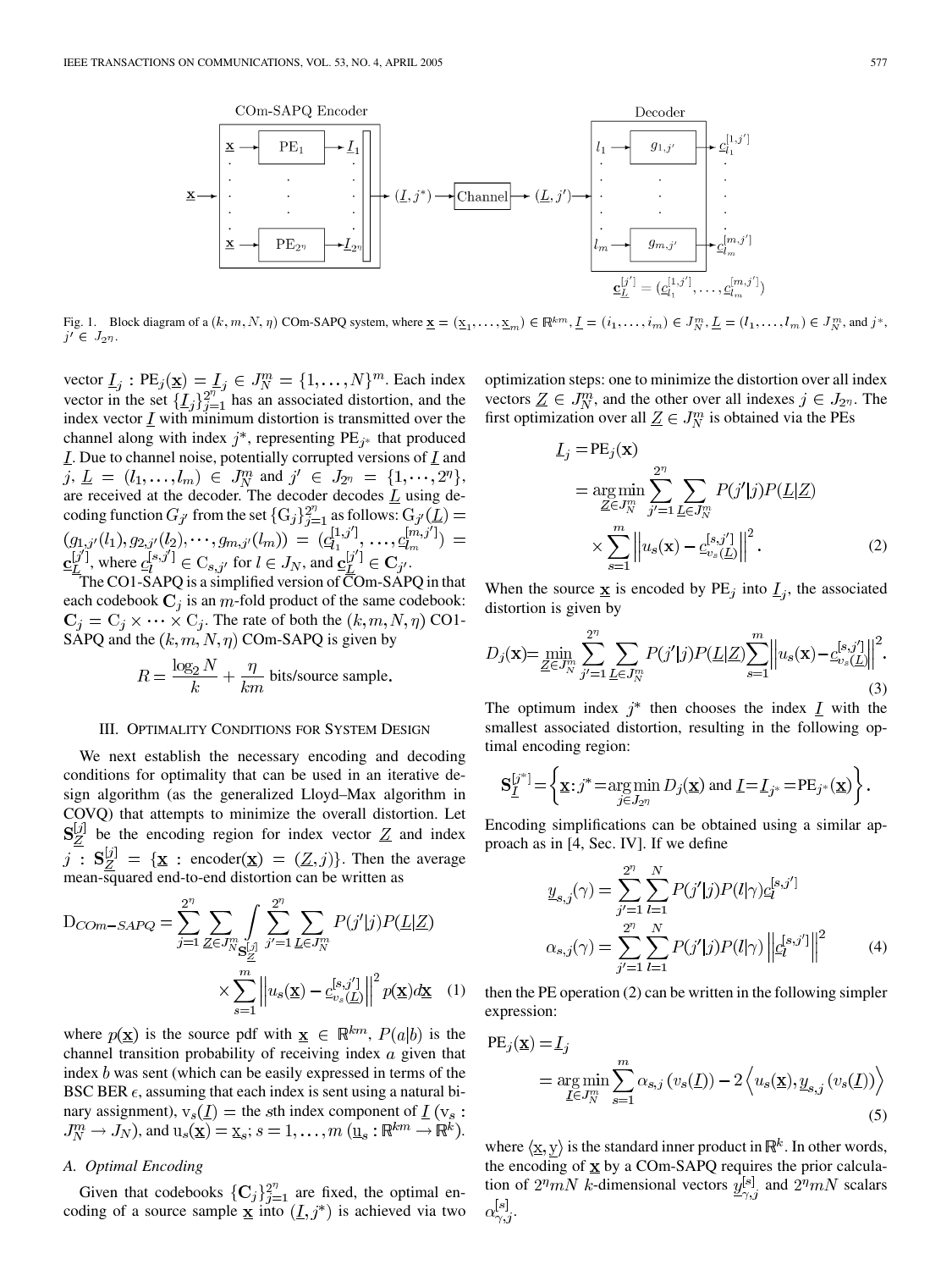

Fig. 1. Block diagram of a  $(k, m, N, \eta)$  COm-SAPQ system, where  $\underline{\mathbf{x}} = (\underline{x}_1, \dots, \underline{x}_m) \in \mathbb{R}^{km}$ ,  $\underline{I} = (i_1, \dots, i_m) \in J_N^m$ ,  $\underline{L} = (l_1, \dots, l_m) \in J_N^m$ , and  $j^*$ ,  $j' \in J_{2\eta}$ .

vector  $\underline{I}_i$ :  $PE_j(\underline{x}) = \underline{I}_j \in J_N^m = \{1, ..., N\}^m$ . Each index vector in the set  $\{\underline{I}_i\}_{i=1}^{2^n}$  has an associated distortion, and the index vector  $\underline{I}$  with minimum distortion is transmitted over the channel along with index  $j^*$ , representing PE<sub> $i^*$ </sub> that produced  $\underline{I}$ . Due to channel noise, potentially corrupted versions of  $\underline{I}$  and  $\mu, \underline{L} = (l_1, \ldots, l_m) \in J_N^m$  and  $j' \in J_{2^n} = \{1, \cdots, 2^n\},$ are received at the decoder. The decoder decodes  $L$  using decoding function  $G_{j'}$  from the set  $\{G_j\}_{j=1}^{2^n}$  as follows:  $G_{j'}(\underline{L}) =$  $(g_{1,j'}(l_1), g_{2,j'}(l_2), \cdots, g_{m,j'}(l_m)) = (c_{l_1}^{[1,j']}, \dots, c_{l_m}^{[m,j']}) =$ <br>  $\underline{c}_{L}^{[j']}$ , where  $c_i^{[s,j']} \in C_{s,j'}$  for  $l \in J_N$ , and  $\underline{c}_{L}^{[j']} \in \mathbf{C}_{j'}$ .

The CO1-SAPQ is a simplified version of  $\overline{\text{C}}$ Om-SAPQ in that each codebook  $C_j$  is an m-fold product of the same codebook:  $C_j = C_j \times \cdots \times C_j$ . The rate of both the  $(k, m, N, \eta)$  CO1-SAPQ and the  $(k, m, N, \eta)$  COm-SAPQ is given by

$$
R = \frac{\log_2 N}{k} + \frac{\eta}{km}
$$
 bits/source sample.

#### III. OPTIMALITY CONDITIONS FOR SYSTEM DESIGN

We next establish the necessary encoding and decoding conditions for optimality that can be used in an iterative design algorithm (as the generalized Lloyd–Max algorithm in COVQ) that attempts to minimize the overall distortion. Let  $S_Z^{[j]}$  be the encoding region for index vector  $\underline{Z}$  and index  $\overline{j}$  :  $S_Z^{[j]} = {\mathbf{x} : \text{encoder}(\mathbf{x}) = (\underline{Z}, j)}$ . Then the average mean-squared end-to-end distortion can be written as

$$
D_{COM-SAPQ} = \sum_{j=1}^{2^n} \sum_{\underline{Z} \in J_N^m} \int_{\underline{S}_{\underline{Z}}^{[j]}} \sum_{j'=1}^{2^n} \sum_{\underline{L} \in J_N^m} P(j'|j) P(\underline{L}|\underline{Z})
$$

$$
\times \sum_{s=1}^m \left\| u_s(\underline{\mathbf{x}}) - c_{v_s(\underline{L})}^{[s,j']} \right\|^2 p(\underline{\mathbf{x}}) d\underline{\mathbf{x}} \quad (1)
$$

where  $p(\mathbf{x})$  is the source pdf with  $\mathbf{x} \in \mathbb{R}^{km}$ ,  $P(a|b)$  is the channel transition probability of receiving index  $\alpha$  given that index  $b$  was sent (which can be easily expressed in terms of the BSC BER  $\epsilon$ , assuming that each index is sent using a natural binary assignment),  $v_s(\underline{I})$  = the sth index component of  $\underline{I}$  ( $v_s$ :  $J_N^m \to J_N$ ), and  $u_s(\underline{\mathbf{x}}) = \underline{\mathbf{x}}_s$ ;  $s = 1, \dots, m$   $(\underline{\mathbf{u}}_s : \mathbb{R}^{km} \to \mathbb{R}^k)$ .

# *A. Optimal Encoding*

Given that codebooks  $\{C_j\}_{j=1}^{2^n}$  are fixed, the optimal encoding of a source sample  $\underline{x}$  into  $(\underline{I}, j^*)$  is achieved via two

optimization steps: one to minimize the distortion over all index vectors  $\underline{Z} \in J_N^m$ , and the other over all indexes  $j \in J_{2^n}$ . The first optimization over all  $\underline{Z} \in J_N^m$  is obtained via the PEs

$$
\underline{I}_{j} = PE_{j}(\mathbf{x})
$$
\n
$$
= \underset{\underline{Z} \in J_{N}^{m}}{\arg \min} \sum_{j'=1}^{2^{\eta}} \sum_{\underline{L} \in J_{N}^{m}} P(j'|j) P(\underline{L} | \underline{Z})
$$
\n
$$
\times \sum_{s=1}^{m} \left\| u_{s}(\mathbf{x}) - \underline{c}_{v_{s}(\underline{L})}^{[s,j']} \right\|^{2}.
$$
\n(2)

When the source  $\underline{\mathbf{x}}$  is encoded by PE<sub>j</sub> into  $\underline{I}_j$ , the associated distortion is given by

$$
D_j(\mathbf{x}) = \min_{\underline{Z} \in J_N^m} \sum_{j'=1}^{2^n} \sum_{\underline{L} \in J_N^m} P(j'|j) P(\underline{L}|\underline{Z}) \sum_{s=1}^m \left\| u_s(\mathbf{x}) - c_{v_s(\underline{L})}^{[s,j']} \right\|^2.
$$
\n(3)

The optimum index  $j^*$  then chooses the index  $\underline{I}$  with the smallest associated distortion, resulting in the following optimal encoding region:

$$
\mathbf{S}_{\underline{I}}^{[j^*]} = \left\{ \underline{\mathbf{x}} : j^* = \underset{j \in J_{2\eta}}{\arg \min} D_j(\underline{\mathbf{x}}) \text{ and } \underline{I} = \underline{I}_{j^*} = \mathrm{PE}_{j^*}(\underline{\mathbf{x}}) \right\}.
$$

Encoding simplifications can be obtained using a similar approach as in [\[4](#page-4-0), Sec. IV]. If we define

$$
\underline{y}_{s,j}(\gamma) = \sum_{j'=1}^{2^n} \sum_{l=1}^N P(j'|j) P(l|\gamma) \underline{c}_l^{[s,j']}
$$

$$
\alpha_{s,j}(\gamma) = \sum_{j'=1}^{2^n} \sum_{l=1}^N P(j'|j) P(l|\gamma) \left\| \underline{c}_l^{[s,j']} \right\|^2
$$
(4)

then the PE operation (2) can be written in the following simpler expression:

PE<sub>j</sub>(
$$
\underline{\mathbf{x}}
$$
) =  $\underline{I}_j$   
= arg min  $\sum_{\underline{I} \in J_N^m} \sum_{s=1}^m \alpha_{s,j} (v_s(\underline{I})) - 2 \langle u_s(\underline{\mathbf{x}}), \underline{y}_{s,j} (v_s(\underline{I})) \rangle$  (5)

where  $\langle \underline{x}, y \rangle$  is the standard inner product in  $\mathbb{R}^k$ . In other words, the encoding of  $\underline{x}$  by a COm-SAPQ requires the prior calculation of  $2^n mN$  k-dimensional vectors  $y^{[s]}$ , and  $2^n mN$  scalars  $\alpha_{\gamma,i}^{[s]}$ .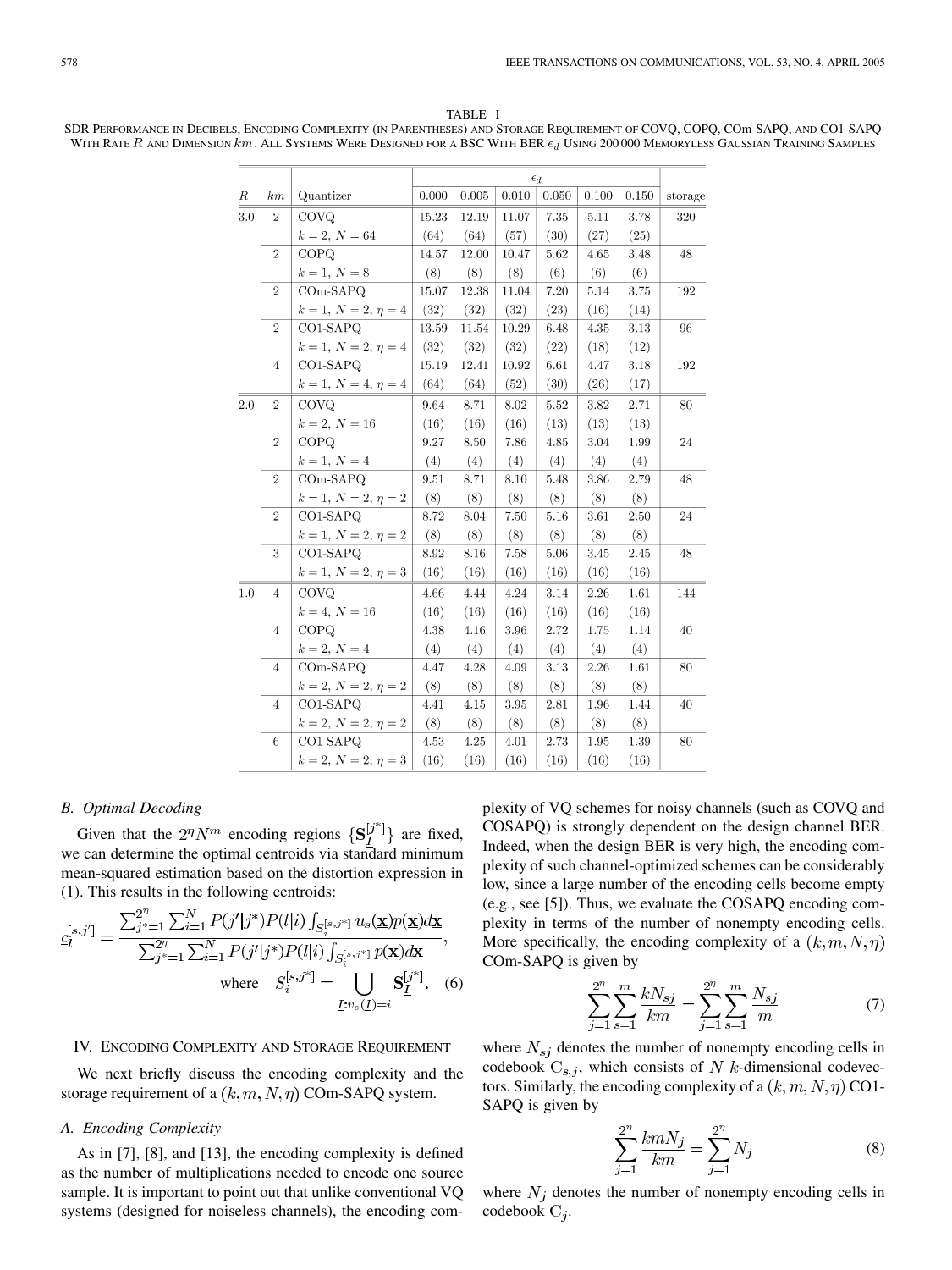# TABLE I

SDR PERFORMANCE IN DECIBELS, ENCODING COMPLEXITY (IN PARENTHESES) AND STORAGE REQUIREMENT OF COVQ, COPQ, COm-SAPQ, AND CO1-SAPQ WITH RATE  $R$  and DIMENSION km. ALL SYSTEMS WERE DESIGNED FOR A BSC WITH BER  $\epsilon_d$  USING 200000 MEMORYLESS GAUSSIAN TRAINING SAMPLES

|     |                |                          | $\epsilon_d$ |           |       |          |       |          |         |
|-----|----------------|--------------------------|--------------|-----------|-------|----------|-------|----------|---------|
| R   | km             | Quantizer                | 0.000        | 0.005     | 0.010 | 0.050    | 0.100 | 0.150    | storage |
| 3.0 | $\overline{2}$ | COVO                     | 15.23        | 12.19     | 11.07 | 7.35     | 5.11  | 3.78     | 320     |
|     |                | $k = 2, N = 64$          | (64)         | (64)      | (57)  | (30)     | (27)  | (25)     |         |
|     | $\overline{2}$ | COPQ                     | 14.57        | $12.00\,$ | 10.47 | 5.62     | 4.65  | 3.48     | 48      |
|     |                | $k = 1, N = 8$           | (8)          | (8)       | (8)   | (6)      | (6)   | (6)      |         |
|     | $\overline{2}$ | $COM-SAPQ$               | 15.07        | 12.38     | 11.04 | 7.20     | 5.14  | 3.75     | 192     |
|     |                | $k = 1, N = 2, \eta = 4$ | (32)         | (32)      | (32)  | (23)     | (16)  | (14)     |         |
|     | $\overline{2}$ | CO1-SAPQ                 | 13.59        | 11.54     | 10.29 | 6.48     | 4.35  | $3.13\,$ | 96      |
|     |                | $k = 1, N = 2, \eta = 4$ | (32)         | (32)      | (32)  | (22)     | (18)  | (12)     |         |
|     | $\overline{4}$ | CO1-SAPQ                 | 15.19        | 12.41     | 10.92 | 6.61     | 4.47  | 3.18     | 192     |
|     |                | $k=1,\,N=4,\,\eta=4$     | (64)         | (64)      | (52)  | (30)     | (26)  | (17)     |         |
| 2.0 | $\sqrt{2}$     | <b>COVQ</b>              | 9.64         | 8.71      | 8.02  | 5.52     | 3.82  | 2.71     | 80      |
|     |                | $k = 2, N = 16$          | (16)         | (16)      | (16)  | (13)     | (13)  | (13)     |         |
|     | $\sqrt{2}$     | <b>COPQ</b>              | 9.27         | 8.50      | 7.86  | 4.85     | 3.04  | 1.99     | 24      |
|     |                | $k = 1, N = 4$           | (4)          | (4)       | (4)   | (4)      | (4)   | (4)      |         |
|     | $\overline{2}$ | $COM-SAPQ$               | 9.51         | 8.71      | 8.10  | 5.48     | 3.86  | 2.79     | 48      |
|     |                | $k = 1, N = 2, \eta = 2$ | (8)          | (8)       | (8)   | (8)      | (8)   | (8)      |         |
|     | $\overline{2}$ | $CO1-SAPQ$               | 8.72         | 8.04      | 7.50  | $5.16\,$ | 3.61  | 2.50     | 24      |
|     |                | $k=1,\,N=2,\,\eta=2$     | (8)          | (8)       | (8)   | (8)      | (8)   | (8)      |         |
|     | 3              | CO1-SAPQ                 | 8.92         | 8.16      | 7.58  | 5.06     | 3.45  | 2.45     | 48      |
|     |                | $k = 1, N = 2, \eta = 3$ | (16)         | (16)      | (16)  | (16)     | (16)  | (16)     |         |
| 1.0 | $\overline{4}$ | <b>COVQ</b>              | 4.66         | 4.44      | 4.24  | 3.14     | 2.26  | 1.61     | 144     |
|     |                | $k = 4, N = 16$          | (16)         | (16)      | (16)  | (16)     | (16)  | (16)     |         |
|     | $\overline{4}$ | <b>COPQ</b>              | 4.38         | 4.16      | 3.96  | 2.72     | 1.75  | 1.14     | 40      |
|     |                | $k = 2, N = 4$           | (4)          | (4)       | (4)   | (4)      | (4)   | (4)      |         |
|     | $\overline{4}$ | $COM-SAPO$               | 4.47         | 4.28      | 4.09  | 3.13     | 2.26  | 1.61     | 80      |
|     |                | $k = 2, N = 2, \eta = 2$ | (8)          | (8)       | (8)   | (8)      | (8)   | (8)      |         |
|     | $\overline{4}$ | CO1-SAPQ                 | 4.41         | 4.15      | 3.95  | 2.81     | 1.96  | 1.44     | 40      |
|     |                | $k = 2, N = 2, \eta = 2$ | (8)          | (8)       | (8)   | (8)      | (8)   | (8)      |         |
|     | 6              | CO1-SAPO                 | 4.53         | 4.25      | 4.01  | 2.73     | 1.95  | 1.39     | 80      |
|     |                | $k = 2, N = 2, \eta = 3$ | (16)         | (16)      | (16)  | (16)     | (16)  | (16)     |         |

# *B. Optimal Decoding*

Given that the  $2^n N^m$  encoding regions  $\{S_I^{[j^*]}\}\$  are fixed, we can determine the optimal centroids via standard minimum mean-squared estimation based on the distortion expression in (1). This results in the following centroids:

$$
c_l^{[s,j']} = \frac{\sum_{j^*=1}^{2^{\prime\prime}} \sum_{i=1}^N P(j'|j^*) P(l|i) \int_{S_i^{[s,j^*]}} u_s(\mathbf{x}) p(\mathbf{x}) d\mathbf{x}}{\sum_{j^*=1}^{2^{\prime\prime}} \sum_{i=1}^N P(j'|j^*) P(l|i) \int_{S_i^{[s,j^*]}} p(\mathbf{x}) d\mathbf{x}},
$$
  
where 
$$
S_i^{[s,j^*]} = \bigcup_{\underline{I}: v_s(\underline{I}) = i} \mathbf{S}_{\underline{I}}^{[j^*]}.
$$
 (6)

# IV. ENCODING COMPLEXITY AND STORAGE REQUIREMENT

We next briefly discuss the encoding complexity and the storage requirement of a  $(k, m, N, \eta)$  COm-SAPQ system.

# *A. Encoding Complexity*

As in [\[7](#page-4-0)], [[8\]](#page-4-0), and [\[13](#page-4-0)], the encoding complexity is defined as the number of multiplications needed to encode one source sample. It is important to point out that unlike conventional VQ systems (designed for noiseless channels), the encoding complexity of VQ schemes for noisy channels (such as COVQ and COSAPQ) is strongly dependent on the design channel BER. Indeed, when the design BER is very high, the encoding complexity of such channel-optimized schemes can be considerably low, since a large number of the encoding cells become empty (e.g., see [\[5](#page-4-0)]). Thus, we evaluate the COSAPQ encoding complexity in terms of the number of nonempty encoding cells. More specifically, the encoding complexity of a  $(k, m, N, \eta)$ COm-SAPQ is given by

$$
\sum_{j=1}^{2^n} \sum_{s=1}^m \frac{kN_{sj}}{km} = \sum_{j=1}^{2^n} \sum_{s=1}^m \frac{N_{sj}}{m}
$$
 (7)

where  $N_{sj}$  denotes the number of nonempty encoding cells in codebook  $C_{s,j}$ , which consists of N k-dimensional codevectors. Similarly, the encoding complexity of a  $(k, m, N, \eta)$  CO1-SAPQ is given by

$$
\sum_{j=1}^{2^n} \frac{kmN_j}{km} = \sum_{j=1}^{2^n} N_j
$$
 (8)

where  $N_j$  denotes the number of nonempty encoding cells in codebook  $C_i$ .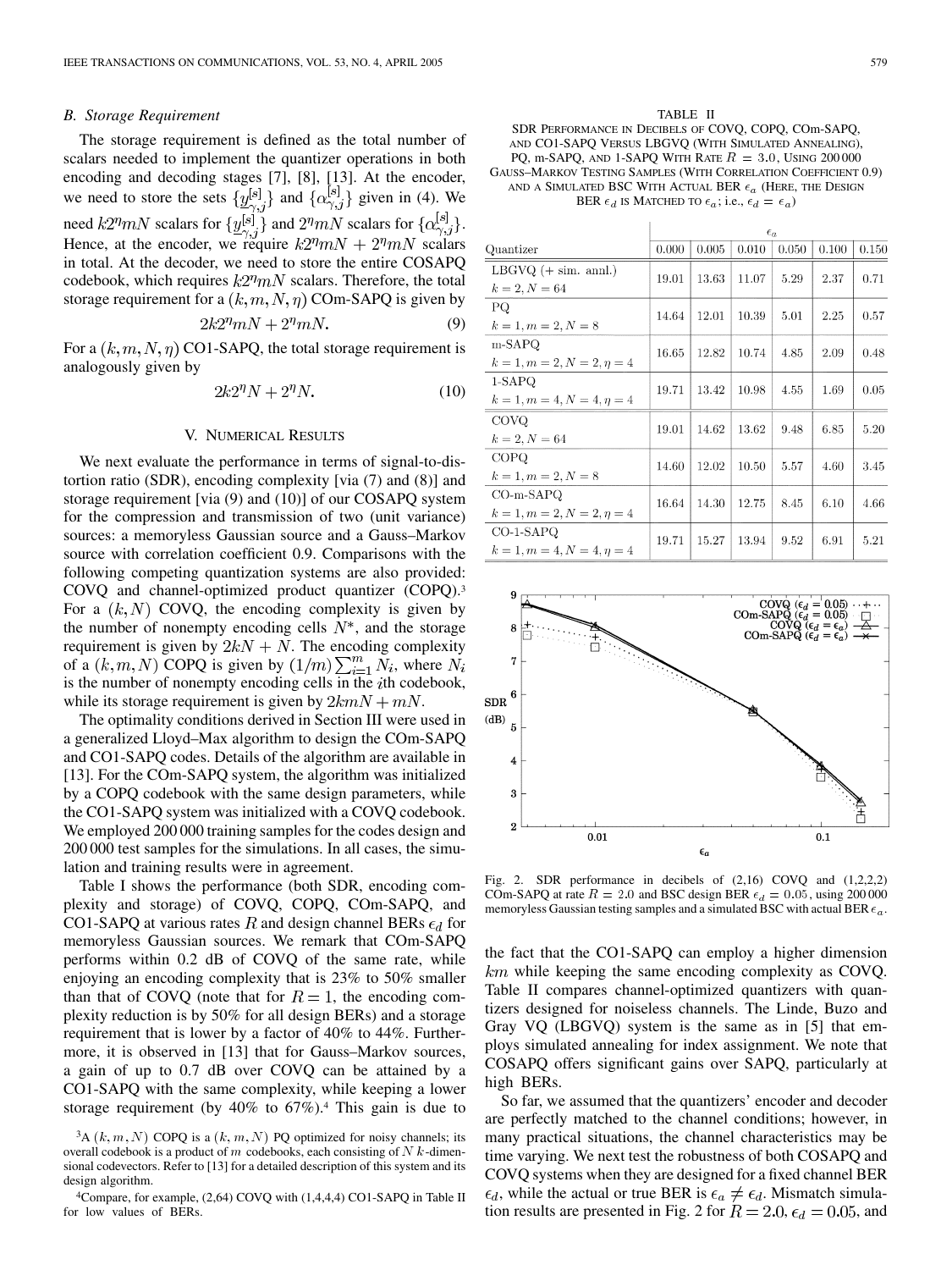#### *B. Storage Requirement*

The storage requirement is defined as the total number of scalars needed to implement the quantizer operations in both encoding and decoding stages [[7\]](#page-4-0), [[8\]](#page-4-0), [\[13](#page-4-0)]. At the encoder, we need to store the sets  $\{\underline{y}_{\gamma,j}^{[s]}\}\$  and  $\{\alpha_{\gamma,j}^{[s]}\}\$  given in (4). We need  $k2^n mN$  scalars for  $\{\underline{y}_{\gamma,j}^{[s]}\}$  and  $2^n mN$  scalars for  $\{\alpha_{\gamma,j}^{[s]}\}.$ Hence, at the encoder, we require  $k2^{\eta}mN + 2^{\eta}mN$  scalars in total. At the decoder, we need to store the entire COSAPQ codebook, which requires  $k2<sup>\eta</sup>mN$  scalars. Therefore, the total storage requirement for a  $(k, m, N, \eta)$  COm-SAPQ is given by

$$
2k2^{\eta}mN + 2^{\eta}mN. \tag{9}
$$

For a  $(k, m, N, \eta)$  CO1-SAPQ, the total storage requirement is analogously given by

$$
2k2^{\eta}N + 2^{\eta}N.\t(10)
$$

#### V. NUMERICAL RESULTS

We next evaluate the performance in terms of signal-to-distortion ratio (SDR), encoding complexity [via (7) and (8)] and storage requirement [via (9) and (10)] of our COSAPQ system for the compression and transmission of two (unit variance) sources: a memoryless Gaussian source and a Gauss–Markov source with correlation coefficient 0.9. Comparisons with the following competing quantization systems are also provided: COVQ and channel-optimized product quantizer (COPQ).3 For a  $(k, N)$  COVQ, the encoding complexity is given by the number of nonempty encoding cells  $N^*$ , and the storage requirement is given by  $2kN + N$ . The encoding complexity of a  $(k, m, N)$  COPQ is given by  $(1/m) \sum_{i=1}^{m} N_i$ , where  $N_i$ is the number of nonempty encoding cells in the  $i$ th codebook, while its storage requirement is given by  $2kmN + mN$ .

The optimality conditions derived in Section III were used in a generalized Lloyd–Max algorithm to design the COm-SAPQ and CO1-SAPQ codes. Details of the algorithm are available in [[13\]](#page-4-0). For the COm-SAPQ system, the algorithm was initialized by a COPQ codebook with the same design parameters, while the CO1-SAPQ system was initialized with a COVQ codebook. We employed 200 000 training samples for the codes design and 200 000 test samples for the simulations. In all cases, the simulation and training results were in agreement.

Table I shows the performance (both SDR, encoding complexity and storage) of COVQ, COPQ, COm-SAPQ, and CO1-SAPQ at various rates R and design channel BERs  $\epsilon_d$  for memoryless Gaussian sources. We remark that COm-SAPQ performs within 0.2 dB of COVQ of the same rate, while enjoying an encoding complexity that is 23% to 50% smaller than that of COVQ (note that for  $R = 1$ , the encoding complexity reduction is by 50% for all design BERs) and a storage requirement that is lower by a factor of 40% to 44%. Furthermore, it is observed in [[13\]](#page-4-0) that for Gauss–Markov sources, a gain of up to 0.7 dB over COVQ can be attained by a CO1-SAPQ with the same complexity, while keeping a lower storage requirement (by 40% to 67%).4 This gain is due to

TABLE II SDR PERFORMANCE IN DECIBELS OF COVQ, COPQ, COm-SAPQ, AND CO1-SAPQ VERSUS LBGVQ (WITH SIMULATED ANNEALING), PQ, m-SAPQ, AND 1-SAPQ WITH RATE  $R = 3.0$ , USING 200000 GAUSS–MARKOV TESTING SAMPLES (WITH CORRELATION COEFFICIENT 0.9) AND A SIMULATED BSC WITH ACTUAL BER  $\epsilon_a$  (Here, the Design BER  $\epsilon_d$  is MATCHED TO  $\epsilon_a$ ; i.e.,  $\epsilon_d = \epsilon_a$ )

|                                 | $\epsilon_a$ |       |       |       |       |       |  |  |  |
|---------------------------------|--------------|-------|-------|-------|-------|-------|--|--|--|
| Quantizer                       | 0.000        | 0.005 | 0.010 | 0.050 | 0.100 | 0.150 |  |  |  |
| $LBGVQ (+ sim. annl.)$          | 19.01        | 13.63 | 11.07 | 5.29  | 2.37  | 0.71  |  |  |  |
| $k = 2, N = 64$                 |              |       |       |       |       |       |  |  |  |
| РQ                              | 14.64        | 12.01 | 10.39 | 5.01  | 2.25  | 0.57  |  |  |  |
| $k = 1, m = 2, N = 8$           |              |       |       |       |       |       |  |  |  |
| $m-SAPQ$                        | 16.65        | 12.82 | 10.74 | 4.85  | 2.09  | 0.48  |  |  |  |
| $k = 1, m = 2, N = 2, \eta = 4$ |              |       |       |       |       |       |  |  |  |
| 1-SAPQ                          | 19.71        | 13.42 | 10.98 | 4.55  | 1.69  | 0.05  |  |  |  |
| $k = 1, m = 4, N = 4, \eta = 4$ |              |       |       |       |       |       |  |  |  |
| <b>COVQ</b>                     | 19.01        | 14.62 | 13.62 | 9.48  | 6.85  | 5.20  |  |  |  |
| $k = 2, N = 64$                 |              |       |       |       |       |       |  |  |  |
| <b>COPQ</b>                     | 14.60        | 12.02 | 10.50 | 5.57  | 4.60  | 3.45  |  |  |  |
| $k = 1, m = 2, N = 8$           |              |       |       |       |       |       |  |  |  |
| $CO-m-SAPQ$                     | 16.64        | 14.30 | 12.75 | 8.45  | 6.10  | 4.66  |  |  |  |
| $k = 1, m = 2, N = 2, \eta = 4$ |              |       |       |       |       |       |  |  |  |
| CO-1-SAPQ                       | 19.71        | 15.27 | 13.94 | 9.52  | 6.91  | 5.21  |  |  |  |
| $k = 1, m = 4, N = 4, \eta = 4$ |              |       |       |       |       |       |  |  |  |



Fig. 2. SDR performance in decibels of (2,16) COVQ and (1,2,2,2) COm-SAPQ at rate  $R = 2.0$  and BSC design BER  $\epsilon_d = 0.05$ , using 200000 memoryless Gaussian testing samples and a simulated BSC with actual BER  $\epsilon_a$ .

the fact that the CO1-SAPQ can employ a higher dimension  $km$  while keeping the same encoding complexity as COVQ. Table II compares channel-optimized quantizers with quantizers designed for noiseless channels. The Linde, Buzo and Gray VQ (LBGVQ) system is the same as in [[5\]](#page-4-0) that employs simulated annealing for index assignment. We note that COSAPQ offers significant gains over SAPQ, particularly at high BERs.

So far, we assumed that the quantizers' encoder and decoder are perfectly matched to the channel conditions; however, in many practical situations, the channel characteristics may be time varying. We next test the robustness of both COSAPQ and COVQ systems when they are designed for a fixed channel BER  $\epsilon_d$ , while the actual or true BER is  $\epsilon_a \neq \epsilon_d$ . Mismatch simulation results are presented in Fig. 2 for  $R = 2.0$ ,  $\epsilon_d = 0.05$ , and

 ${}^{3}A(k, m, N)$  COPQ is a  $(k, m, N)$  PQ optimized for noisy channels; its overall codebook is a product of m codebooks, each consisting of  $N$  k-dimensional codevectors. Refer to [[13\]](#page-4-0) for a detailed description of this system and its design algorithm.

<sup>4</sup>Compare, for example, (2,64) COVQ with (1,4,4,4) CO1-SAPQ in Table II for low values of BERs.